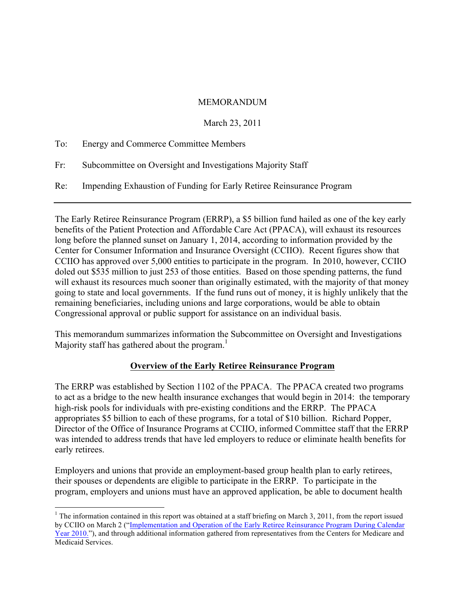#### MEMORANDUM

### March 23, 2011

|     | To: Energy and Commerce Committee Members                             |
|-----|-----------------------------------------------------------------------|
| Fr: | Subcommittee on Oversight and Investigations Majority Staff           |
| Re: | Impending Exhaustion of Funding for Early Retiree Reinsurance Program |

The Early Retiree Reinsurance Program (ERRP), a \$5 billion fund hailed as one of the key early benefits of the Patient Protection and Affordable Care Act (PPACA), will exhaust its resources long before the planned sunset on January 1, 2014, according to information provided by the Center for Consumer Information and Insurance Oversight (CCIIO). Recent figures show that CCIIO has approved over 5,000 entities to participate in the program. In 2010, however, CCIIO doled out \$535 million to just 253 of those entities. Based on those spending patterns, the fund will exhaust its resources much sooner than originally estimated, with the majority of that money going to state and local governments. If the fund runs out of money, it is highly unlikely that the remaining beneficiaries, including unions and large corporations, would be able to obtain Congressional approval or public support for assistance on an individual basis.

This memorandum summarizes information the Subcommittee on Oversight and Investigations Majority staff has gathered about the program.<sup>1</sup>

# **Overview of the Early Retiree Reinsurance Program**

The ERRP was established by Section 1102 of the PPACA. The PPACA created two programs to act as a bridge to the new health insurance exchanges that would begin in 2014: the temporary high-risk pools for individuals with pre-existing conditions and the ERRP. The PPACA appropriates \$5 billion to each of these programs, for a total of \$10 billion. Richard Popper, Director of the Office of Insurance Programs at CCIIO, informed Committee staff that the ERRP was intended to address trends that have led employers to reduce or eliminate health benefits for early retirees.

Employers and unions that provide an employment-based group health plan to early retirees, their spouses or dependents are eligible to participate in the ERRP. To participate in the program, employers and unions must have an approved application, be able to document health

<sup>&</sup>lt;sup>1</sup> The information contained in this report was obtained at a staff briefing on March 3, 2011, from the report issued by CCIIO on March 2 ("Implementation and Operation of the Early Retiree Reinsurance Program During Calendar Year 2010."), and through additional information gathered from representatives from the Centers for Medicare and Medicaid Services.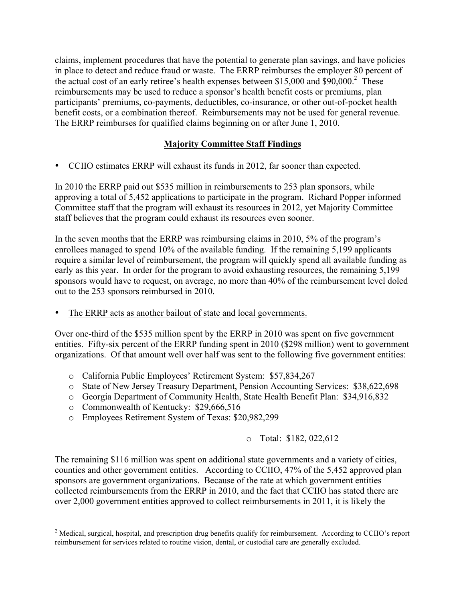claims, implement procedures that have the potential to generate plan savings, and have policies in place to detect and reduce fraud or waste. The ERRP reimburses the employer 80 percent of the actual cost of an early retiree's health expenses between \$15,000 and  $$90,000$ .<sup>2</sup> These reimbursements may be used to reduce a sponsor's health benefit costs or premiums, plan participants' premiums, co-payments, deductibles, co-insurance, or other out-of-pocket health benefit costs, or a combination thereof. Reimbursements may not be used for general revenue. The ERRP reimburses for qualified claims beginning on or after June 1, 2010.

# **Majority Committee Staff Findings**

• CCIIO estimates ERRP will exhaust its funds in 2012, far sooner than expected.

In 2010 the ERRP paid out \$535 million in reimbursements to 253 plan sponsors, while approving a total of 5,452 applications to participate in the program. Richard Popper informed Committee staff that the program will exhaust its resources in 2012, yet Majority Committee staff believes that the program could exhaust its resources even sooner.

In the seven months that the ERRP was reimbursing claims in 2010, 5% of the program's enrollees managed to spend 10% of the available funding. If the remaining 5,199 applicants require a similar level of reimbursement, the program will quickly spend all available funding as early as this year. In order for the program to avoid exhausting resources, the remaining 5,199 sponsors would have to request, on average, no more than 40% of the reimbursement level doled out to the 253 sponsors reimbursed in 2010.

The ERRP acts as another bailout of state and local governments.

Over one-third of the \$535 million spent by the ERRP in 2010 was spent on five government entities. Fifty-six percent of the ERRP funding spent in 2010 (\$298 million) went to government organizations. Of that amount well over half was sent to the following five government entities:

- o California Public Employees' Retirement System: \$57,834,267
- o State of New Jersey Treasury Department, Pension Accounting Services: \$38,622,698
- o Georgia Department of Community Health, State Health Benefit Plan: \$34,916,832
- o Commonwealth of Kentucky: \$29,666,516
- o Employees Retirement System of Texas: \$20,982,299

#### o Total: \$182, 022,612

The remaining \$116 million was spent on additional state governments and a variety of cities, counties and other government entities. According to CCIIO, 47% of the 5,452 approved plan sponsors are government organizations. Because of the rate at which government entities collected reimbursements from the ERRP in 2010, and the fact that CCIIO has stated there are over 2,000 government entities approved to collect reimbursements in 2011, it is likely the

<sup>&</sup>lt;sup>2</sup> Medical, surgical, hospital, and prescription drug benefits qualify for reimbursement. According to CCIIO's report reimbursement for services related to routine vision, dental, or custodial care are generally excluded.